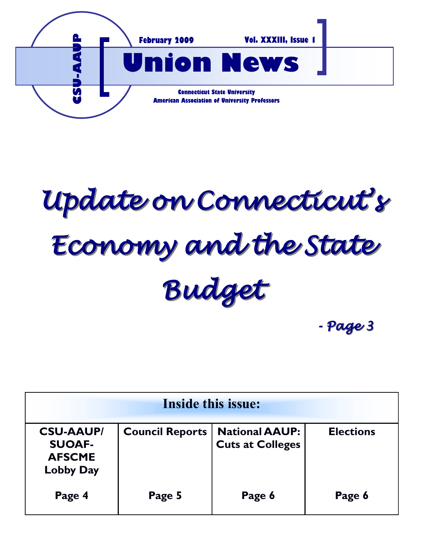

*Update on Connecticut's Economy and the State Budget*

*- Page 3*

| <b>Inside this issue:</b>                                              |                        |                                                  |                  |
|------------------------------------------------------------------------|------------------------|--------------------------------------------------|------------------|
| <b>CSU-AAUP/</b><br><b>SUOAF-</b><br><b>AFSCME</b><br><b>Lobby Day</b> | <b>Council Reports</b> | <b>National AAUP:</b><br><b>Cuts at Colleges</b> | <b>Elections</b> |
| Page 4                                                                 | Page 5                 | Page 6                                           | Page 6           |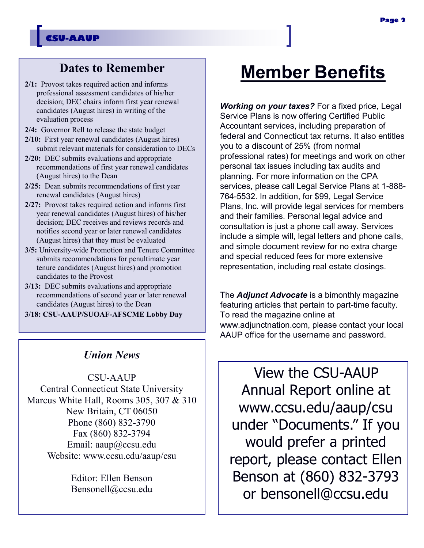### **Dates to Remember**

- **2/1:** Provost takes required action and informs professional assessment candidates of his/her decision; DEC chairs inform first year renewal candidates (August hires) in writing of the evaluation process
- **2/4:** Governor Rell to release the state budget
- **2/10:** First year renewal candidates (August hires) submit relevant materials for consideration to DECs
- **2/20:** DEC submits evaluations and appropriate recommendations of first year renewal candidates (August hires) to the Dean
- **2/25:** Dean submits recommendations of first year renewal candidates (August hires)
- **2/27:** Provost takes required action and informs first year renewal candidates (August hires) of his/her decision; DEC receives and reviews records and notifies second year or later renewal candidates (August hires) that they must be evaluated
- **3/5:** University-wide Promotion and Tenure Committee submits recommendations for penultimate year tenure candidates (August hires) and promotion candidates to the Provost
- **3/13:** DEC submits evaluations and appropriate recommendations of second year or later renewal candidates (August hires) to the Dean

**3/18: CSU-AAUP/SUOAF-AFSCME Lobby Day**

### *Union News*

CSU-AAUP Central Connecticut State University Marcus White Hall, Rooms 305, 307 & 310 New Britain, CT 06050 Phone (860) 832-3790 Fax (860) 832-3794 Email: aaup@ccsu.edu Website: www.ccsu.edu/aaup/csu

> Editor: Ellen Benson Bensonell@ccsu.edu

# **Member Benefits**

*Working on your taxes?* For a fixed price, Legal Service Plans is now offering Certified Public Accountant services, including preparation of federal and Connecticut tax returns. It also entitles you to a discount of 25% (from normal professional rates) for meetings and work on other personal tax issues including tax audits and planning. For more information on the CPA services, please call Legal Service Plans at 1-888- 764-5532. In addition, for \$99, Legal Service Plans, Inc. will provide legal services for members and their families. Personal legal advice and consultation is just a phone call away. Services include a simple will, legal letters and phone calls, and simple document review for no extra charge and special reduced fees for more extensive representation, including real estate closings.

The *Adjunct Advocate* is a bimonthly magazine featuring articles that pertain to part-time faculty. To read the magazine online at www.adjunctnation.com, please contact your local AAUP office for the username and password.

View the CSU-AAUP Annual Report online at www.ccsu.edu/aaup/csu under "Documents." If you would prefer a printed report, please contact Ellen Benson at (860) 832-3793 or bensonell@ccsu.edu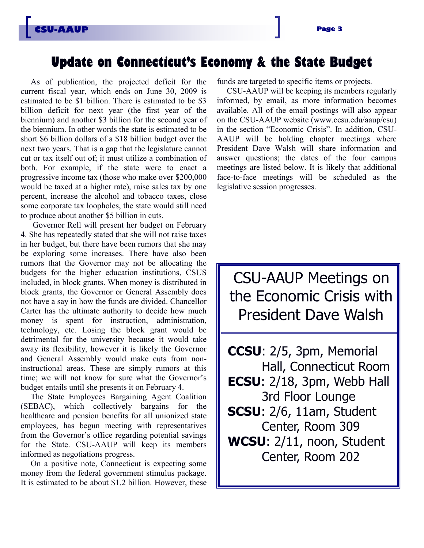### **Update on Connecticut's Economy & the State Budget**

As of publication, the projected deficit for the current fiscal year, which ends on June 30, 2009 is estimated to be \$1 billion. There is estimated to be \$3 billion deficit for next year (the first year of the biennium) and another \$3 billion for the second year of the biennium. In other words the state is estimated to be short \$6 billion dollars of a \$18 billion budget over the next two years. That is a gap that the legislature cannot cut or tax itself out of; it must utilize a combination of both. For example, if the state were to enact a progressive income tax (those who make over \$200,000 would be taxed at a higher rate), raise sales tax by one percent, increase the alcohol and tobacco taxes, close some corporate tax loopholes, the state would still need to produce about another \$5 billion in cuts.

Governor Rell will present her budget on February 4. She has repeatedly stated that she will not raise taxes in her budget, but there have been rumors that she may be exploring some increases. There have also been rumors that the Governor may not be allocating the budgets for the higher education institutions, CSUS included, in block grants. When money is distributed in block grants, the Governor or General Assembly does not have a say in how the funds are divided. Chancellor Carter has the ultimate authority to decide how much money is spent for instruction, administration, technology, etc. Losing the block grant would be detrimental for the university because it would take away its flexibility, however it is likely the Governor and General Assembly would make cuts from noninstructional areas. These are simply rumors at this time; we will not know for sure what the Governor's budget entails until she presents it on February 4.

The State Employees Bargaining Agent Coalition (SEBAC), which collectively bargains for the healthcare and pension benefits for all unionized state employees, has begun meeting with representatives from the Governor's office regarding potential savings for the State. CSU-AAUP will keep its members informed as negotiations progress.

On a positive note, Connecticut is expecting some money from the federal government stimulus package. It is estimated to be about \$1.2 billion. However, these funds are targeted to specific items or projects.

CSU-AAUP will be keeping its members regularly informed, by email, as more information becomes available. All of the email postings will also appear on the CSU-AAUP website (www.ccsu.edu/aaup/csu) in the section "Economic Crisis". In addition, CSU-AAUP will be holding chapter meetings where President Dave Walsh will share information and answer questions; the dates of the four campus meetings are listed below. It is likely that additional face-to-face meetings will be scheduled as the legislative session progresses.

CSU-AAUP Meetings on the Economic Crisis with President Dave Walsh

**CCSU**: 2/5, 3pm, Memorial Hall, Connecticut Room **ECSU**: 2/18, 3pm, Webb Hall 3rd Floor Lounge **SCSU**: 2/6, 11am, Student Center, Room 309 **WCSU**: 2/11, noon, Student Center, Room 202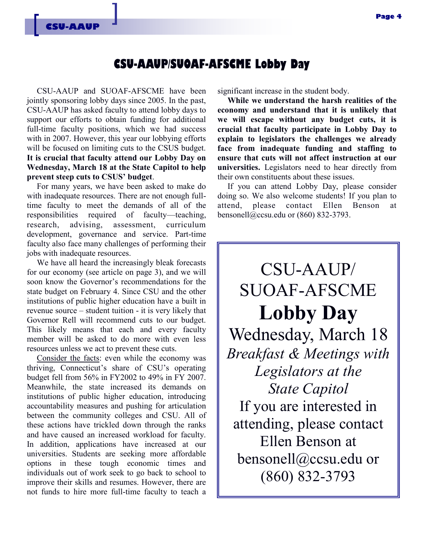### **CSU-AAUP/SUOAF-AFSCME Lobby Day**

CSU-AAUP and SUOAF-AFSCME have been jointly sponsoring lobby days since 2005. In the past, CSU-AAUP has asked faculty to attend lobby days to support our efforts to obtain funding for additional full-time faculty positions, which we had success with in 2007. However, this year our lobbying efforts will be focused on limiting cuts to the CSUS budget. **It is crucial that faculty attend our Lobby Day on Wednesday, March 18 at the State Capitol to help prevent steep cuts to CSUS' budget**.

For many years, we have been asked to make do with inadequate resources. There are not enough fulltime faculty to meet the demands of all of the responsibilities required of faculty—teaching, research, advising, assessment, curriculum development, governance and service. Part-time faculty also face many challenges of performing their jobs with inadequate resources.

We have all heard the increasingly bleak forecasts for our economy (see article on page 3), and we will soon know the Governor's recommendations for the state budget on February 4. Since CSU and the other institutions of public higher education have a built in revenue source – student tuition - it is very likely that Governor Rell will recommend cuts to our budget. This likely means that each and every faculty member will be asked to do more with even less resources unless we act to prevent these cuts.

Consider the facts: even while the economy was thriving, Connecticut's share of CSU's operating budget fell from 56% in FY2002 to 49% in FY 2007. Meanwhile, the state increased its demands on institutions of public higher education, introducing accountability measures and pushing for articulation between the community colleges and CSU. All of these actions have trickled down through the ranks and have caused an increased workload for faculty. In addition, applications have increased at our universities. Students are seeking more affordable options in these tough economic times and individuals out of work seek to go back to school to improve their skills and resumes. However, there are not funds to hire more full-time faculty to teach a

significant increase in the student body.

**While we understand the harsh realities of the economy and understand that it is unlikely that we will escape without any budget cuts, it is crucial that faculty participate in Lobby Day to explain to legislators the challenges we already face from inadequate funding and staffing to ensure that cuts will not affect instruction at our universities.** Legislators need to hear directly from their own constituents about these issues.

If you can attend Lobby Day, please consider doing so. We also welcome students! If you plan to attend, please contact Ellen Benson at bensonell@ccsu.edu or (860) 832-3793.

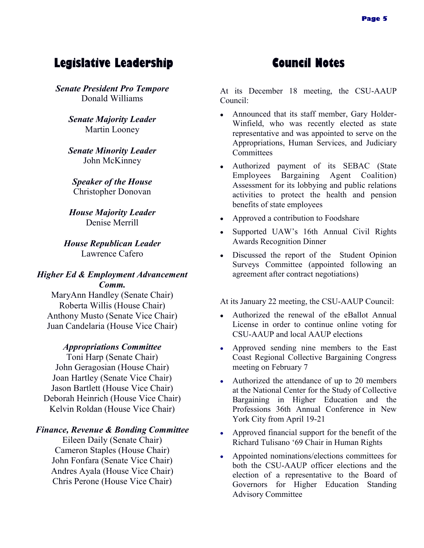### **Legislative Leadership Council Notes**

*Senate President Pro Tempore* Donald Williams

> *Senate Majority Leader* Martin Looney

> *Senate Minority Leader* John McKinney

*Speaker of the House* Christopher Donovan

*House Majority Leader* Denise Merrill

*House Republican Leader* Lawrence Cafero

### *Higher Ed & Employment Advancement Comm.*

MaryAnn Handley (Senate Chair) Roberta Willis (House Chair) Anthony Musto (Senate Vice Chair) Juan Candelaria (House Vice Chair)

#### *Appropriations Committee*

Toni Harp (Senate Chair) John Geragosian (House Chair) Joan Hartley (Senate Vice Chair) Jason Bartlett (House Vice Chair) Deborah Heinrich (House Vice Chair) Kelvin Roldan (House Vice Chair)

#### *Finance, Revenue & Bonding Committee*

Eileen Daily (Senate Chair) Cameron Staples (House Chair) John Fonfara (Senate Vice Chair) Andres Ayala (House Vice Chair) Chris Perone (House Vice Chair)

At its December 18 meeting, the CSU-AAUP Council:

- Announced that its staff member, Gary Holder- $\bullet$ Winfield, who was recently elected as state representative and was appointed to serve on the Appropriations, Human Services, and Judiciary **Committees**
- Authorized payment of its SEBAC (State Employees Bargaining Agent Coalition) Assessment for its lobbying and public relations activities to protect the health and pension benefits of state employees
- Approved a contribution to Foodshare
- Supported UAW's 16th Annual Civil Rights Awards Recognition Dinner
- Discussed the report of the Student Opinion Surveys Committee (appointed following an agreement after contract negotiations)

At its January 22 meeting, the CSU-AAUP Council:

- Authorized the renewal of the eBallot Annual License in order to continue online voting for CSU-AAUP and local AAUP elections
- Approved sending nine members to the East Coast Regional Collective Bargaining Congress meeting on February 7
- Authorized the attendance of up to 20 members at the National Center for the Study of Collective Bargaining in Higher Education and the Professions 36th Annual Conference in New York City from April 19-21
- Approved financial support for the benefit of the Richard Tulisano ‗69 Chair in Human Rights
- Appointed nominations/elections committees for both the CSU-AAUP officer elections and the election of a representative to the Board of Governors for Higher Education Standing Advisory Committee